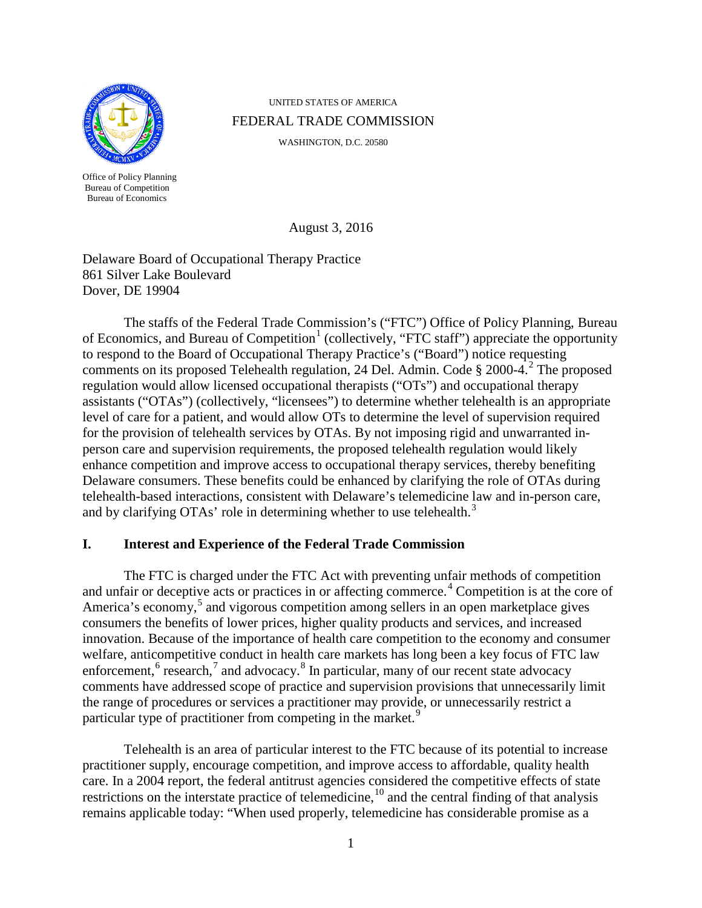

Office of Policy Planning Bureau of Competition Bureau of Economics

UNITED STATES OF AMERICA FEDERAL TRADE COMMISSION

WASHINGTON, D.C. 20580

<span id="page-0-3"></span>August 3, 2016

Delaware Board of Occupational Therapy Practice 861 Silver Lake Boulevard Dover, DE 19904

The staffs of the Federal Trade Commission's ("FTC") Office of Policy Planning, Bureau of Economics, and Bureau of Competition<sup>[1](#page-5-0)</sup> (collectively, "FTC staff") appreciate the opportunity to respond to the Board of Occupational Therapy Practice's ("Board") notice requesting comments on its proposed Telehealth regulation, [2](#page-5-1)4 Del. Admin. Code § 2000-4.<sup>2</sup> The proposed regulation would allow licensed occupational therapists ("OTs") and occupational therapy assistants ("OTAs") (collectively, "licensees") to determine whether telehealth is an appropriate level of care for a patient, and would allow OTs to determine the level of supervision required for the provision of telehealth services by OTAs. By not imposing rigid and unwarranted inperson care and supervision requirements, the proposed telehealth regulation would likely enhance competition and improve access to occupational therapy services, thereby benefiting Delaware consumers. These benefits could be enhanced by clarifying the role of OTAs during telehealth-based interactions, consistent with Delaware's telemedicine law and in-person care, and by clarifying OTAs' role in determining whether to use telehealth.<sup>[3](#page-5-2)</sup>

# **I. Interest and Experience of the Federal Trade Commission**

The FTC is charged under the FTC Act with preventing unfair methods of competition and unfair or deceptive acts or practices in or affecting commerce.<sup>[4](#page-5-3)</sup> Competition is at the core of America's economy,<sup>[5](#page-5-4)</sup> and vigorous competition among sellers in an open marketplace gives consumers the benefits of lower prices, higher quality products and services, and increased innovation. Because of the importance of health care competition to the economy and consumer welfare, anticompetitive conduct in health care markets has long been a key focus of FTC law enforcement, $6$  research, $7$  and advocacy. $8$  In particular, many of our recent state advocacy comments have addressed scope of practice and supervision provisions that unnecessarily limit the range of procedures or services a practitioner may provide, or unnecessarily restrict a particular type of practitioner from competing in the market.<sup>[9](#page-5-8)</sup>

<span id="page-0-2"></span><span id="page-0-1"></span><span id="page-0-0"></span>Telehealth is an area of particular interest to the FTC because of its potential to increase practitioner supply, encourage competition, and improve access to affordable, quality health care. In a 2004 report, the federal antitrust agencies considered the competitive effects of state restrictions on the interstate practice of telemedicine, <sup>[10](#page-5-9)</sup> and the central finding of that analysis remains applicable today: "When used properly, telemedicine has considerable promise as a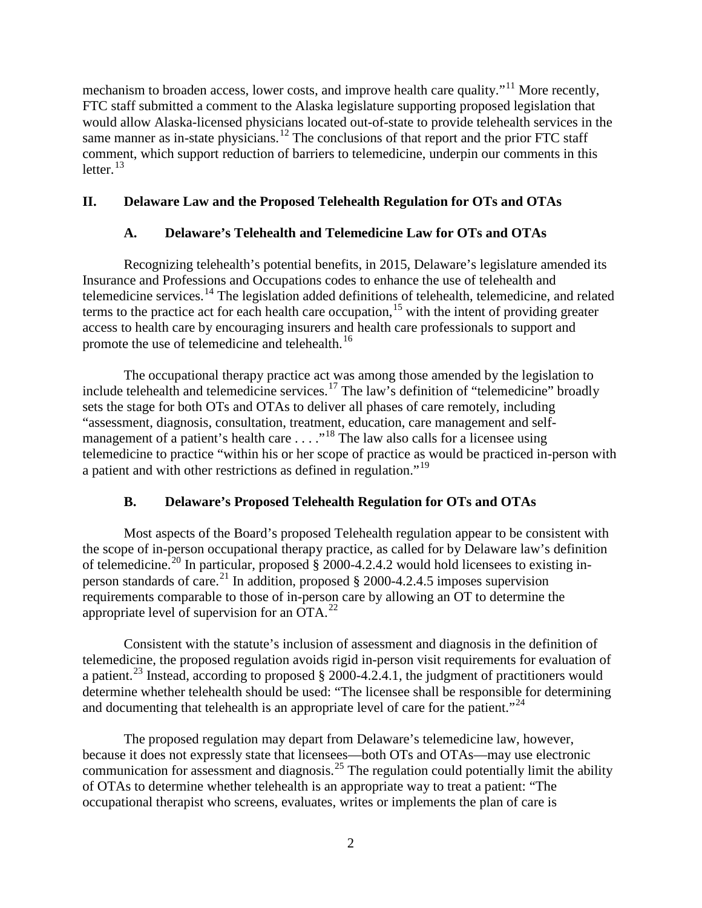mechanism to broaden access, lower costs, and improve health care quality."<sup>[11](#page-6-0)</sup> More recently, FTC staff submitted a comment to the Alaska legislature supporting proposed legislation that would allow Alaska-licensed physicians located out-of-state to provide telehealth services in the same manner as in-state physicians.<sup>[12](#page-6-1)</sup> The conclusions of that report and the prior FTC staff comment, which support reduction of barriers to telemedicine, underpin our comments in this letter. $13$ 

## **II. Delaware Law and the Proposed Telehealth Regulation for OTs and OTAs**

#### <span id="page-1-2"></span>**A. Delaware's Telehealth and Telemedicine Law for OTs and OTAs**

Recognizing telehealth's potential benefits, in 2015, Delaware's legislature amended its Insurance and Professions and Occupations codes to enhance the use of telehealth and telemedicine services.<sup>[14](#page-6-3)</sup> The legislation added definitions of telehealth, telemedicine, and related terms to the practice act for each health care occupation,<sup>[15](#page-6-4)</sup> with the intent of providing greater access to health care by encouraging insurers and health care professionals to support and promote the use of telemedicine and telehealth.<sup>[16](#page-6-5)</sup>

The occupational therapy practice act was among those amended by the legislation to include telehealth and telemedicine services.[17](#page-6-6) The law's definition of "telemedicine" broadly sets the stage for both OTs and OTAs to deliver all phases of care remotely, including "assessment, diagnosis, consultation, treatment, education, care management and self-management of a patient's health care . . . .<sup>"[18](#page-6-7)</sup> The law also calls for a licensee using telemedicine to practice "within his or her scope of practice as would be practiced in-person with a patient and with other restrictions as defined in regulation."[19](#page-6-8)

#### <span id="page-1-3"></span><span id="page-1-1"></span><span id="page-1-0"></span>**B. Delaware's Proposed Telehealth Regulation for OTs and OTAs**

Most aspects of the Board's proposed Telehealth regulation appear to be consistent with the scope of in-person occupational therapy practice, as called for by Delaware law's definition of telemedicine.<sup>[20](#page-6-9)</sup> In particular, proposed  $\frac{5}{9}$  2000-4.2.4.2 would hold licensees to existing in-person standards of care.<sup>[21](#page-6-10)</sup> In addition, proposed  $\S$  2000-4.2.4.5 imposes supervision requirements comparable to those of in-person care by allowing an OT to determine the appropriate level of supervision for an  $\overline{OTA}^{22}$  $\overline{OTA}^{22}$  $\overline{OTA}^{22}$ .

<span id="page-1-5"></span>Consistent with the statute's inclusion of assessment and diagnosis in the definition of telemedicine, the proposed regulation avoids rigid in-person visit requirements for evaluation of a patient.<sup>[23](#page-6-12)</sup> Instead, according to proposed  $\S$  2000-4.2.4.1, the judgment of practitioners would determine whether telehealth should be used: "The licensee shall be responsible for determining and documenting that telehealth is an appropriate level of care for the patient."<sup>[24](#page-6-13)</sup>

<span id="page-1-4"></span>The proposed regulation may depart from Delaware's telemedicine law, however, because it does not expressly state that licensees—both OTs and OTAs—may use electronic communication for assessment and diagnosis.<sup>[25](#page-6-14)</sup> The regulation could potentially limit the ability of OTAs to determine whether telehealth is an appropriate way to treat a patient: "The occupational therapist who screens, evaluates, writes or implements the plan of care is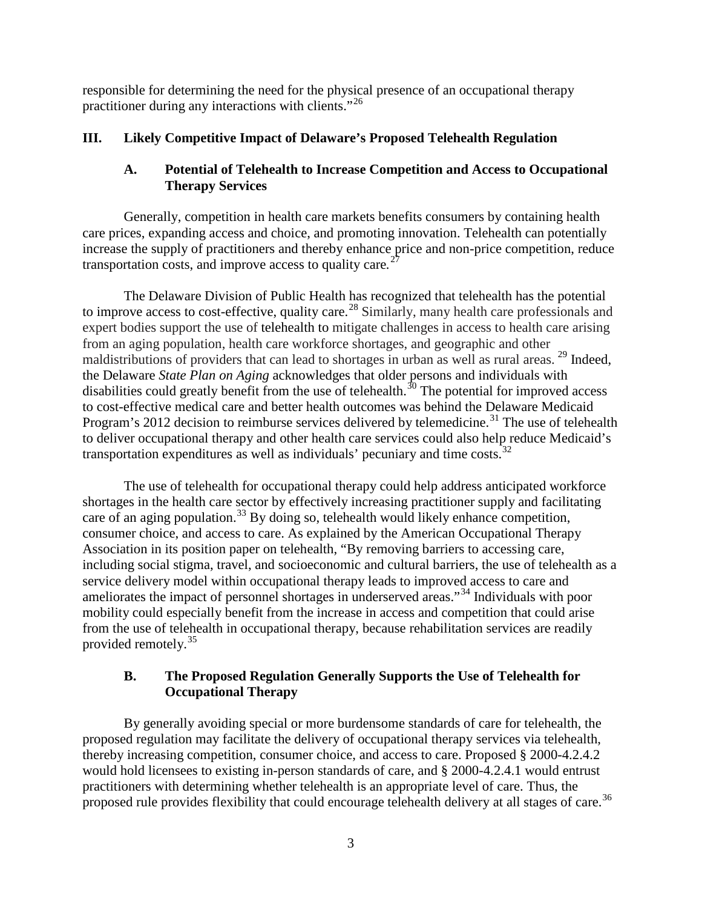responsible for determining the need for the physical presence of an occupational therapy practitioner during any interactions with clients."[26](#page-7-0)

## **III. Likely Competitive Impact of Delaware's Proposed Telehealth Regulation**

## <span id="page-2-0"></span>**A. Potential of Telehealth to Increase Competition and Access to Occupational Therapy Services**

Generally, competition in health care markets benefits consumers by containing health care prices, expanding access and choice, and promoting innovation. Telehealth can potentially increase the supply of practitioners and thereby enhance price and non-price competition, reduce transportation costs, and improve access to quality care*.* [27](#page-7-1)

The Delaware Division of Public Health has recognized that telehealth has the potential to improve access to cost-effective, quality care.<sup>[28](#page-7-2)</sup> Similarly, many health care professionals and expert bodies support the use of telehealth to mitigate challenges in access to health care arising from an aging population, health care workforce shortages, and geographic and other maldistributions of providers that can lead to shortages in urban as well as rural areas. <sup>[29](#page-7-3)</sup> Indeed, the Delaware *State Plan on Aging* acknowledges that older persons and individuals with disabilities could greatly benefit from the use of telehealth. $30$  The potential for improved access to cost-effective medical care and better health outcomes was behind the Delaware Medicaid Program's 2012 decision to reimburse services delivered by telemedicine.<sup>[31](#page-7-5)</sup> The use of telehealth to deliver occupational therapy and other health care services could also help reduce Medicaid's transportation expenditures as well as individuals' pecuniary and time costs. $32$ 

The use of telehealth for occupational therapy could help address anticipated workforce shortages in the health care sector by effectively increasing practitioner supply and facilitating care of an aging population.<sup>[33](#page-7-7)</sup> By doing so, telehealth would likely enhance competition, consumer choice, and access to care. As explained by the American Occupational Therapy Association in its position paper on telehealth, "By removing barriers to accessing care, including social stigma, travel, and socioeconomic and cultural barriers, the use of telehealth as a service delivery model within occupational therapy leads to improved access to care and ameliorates the impact of personnel shortages in underserved areas."[34](#page-7-8) Individuals with poor mobility could especially benefit from the increase in access and competition that could arise from the use of telehealth in occupational therapy, because rehabilitation services are readily provided remotely.[35](#page-7-9)

# <span id="page-2-2"></span><span id="page-2-1"></span>**B. The Proposed Regulation Generally Supports the Use of Telehealth for Occupational Therapy**

By generally avoiding special or more burdensome standards of care for telehealth, the proposed regulation may facilitate the delivery of occupational therapy services via telehealth, thereby increasing competition, consumer choice, and access to care. Proposed § 2000-4.2.4.2 would hold licensees to existing in-person standards of care, and § 2000-4.2.4.1 would entrust practitioners with determining whether telehealth is an appropriate level of care. Thus, the proposed rule provides flexibility that could encourage telehealth delivery at all stages of care.<sup>[36](#page-7-10)</sup>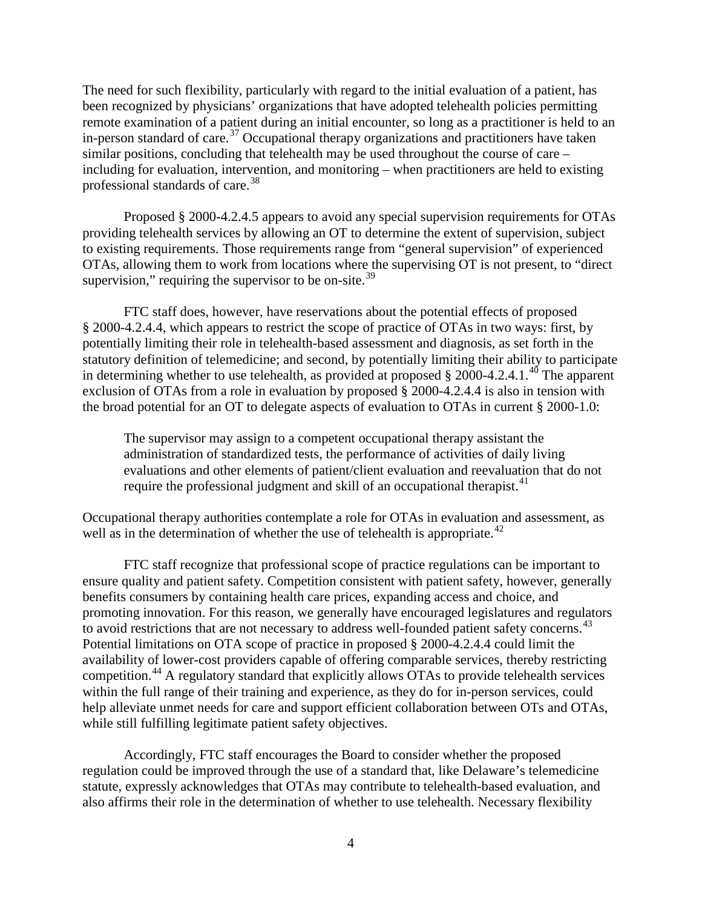<span id="page-3-0"></span>The need for such flexibility, particularly with regard to the initial evaluation of a patient, has been recognized by physicians' organizations that have adopted telehealth policies permitting remote examination of a patient during an initial encounter, so long as a practitioner is held to an in-person standard of care.<sup>[37](#page-8-0)</sup> Occupational therapy organizations and practitioners have taken similar positions, concluding that telehealth may be used throughout the course of care – including for evaluation, intervention, and monitoring – when practitioners are held to existing professional standards of care.<sup>[38](#page-8-1)</sup>

<span id="page-3-1"></span>Proposed § 2000-4.2.4.5 appears to avoid any special supervision requirements for OTAs providing telehealth services by allowing an OT to determine the extent of supervision, subject to existing requirements. Those requirements range from "general supervision" of experienced OTAs, allowing them to work from locations where the supervising OT is not present, to "direct supervision," requiring the supervisor to be on-site. $39$ 

FTC staff does, however, have reservations about the potential effects of proposed § 2000-4.2.4.4, which appears to restrict the scope of practice of OTAs in two ways: first, by potentially limiting their role in telehealth-based assessment and diagnosis, as set forth in the statutory definition of telemedicine; and second, by potentially limiting their ability to participate in determining whether to use telehealth, as provided at proposed  $\S 2000-4.2.4.1$ <sup>[40](#page-8-3)</sup> The apparent exclusion of OTAs from a role in evaluation by proposed § 2000-4.2.4.4 is also in tension with the broad potential for an OT to delegate aspects of evaluation to OTAs in current § 2000-1.0:

The supervisor may assign to a competent occupational therapy assistant the administration of standardized tests, the performance of activities of daily living evaluations and other elements of patient/client evaluation and reevaluation that do not require the professional judgment and skill of an occupational therapist.<sup>[41](#page-8-4)</sup>

Occupational therapy authorities contemplate a role for OTAs in evaluation and assessment, as well as in the determination of whether the use of telehealth is appropriate.<sup> $42$ </sup>

FTC staff recognize that professional scope of practice regulations can be important to ensure quality and patient safety. Competition consistent with patient safety, however, generally benefits consumers by containing health care prices, expanding access and choice, and promoting innovation. For this reason, we generally have encouraged legislatures and regulators to avoid restrictions that are not necessary to address well-founded patient safety concerns.<sup>[43](#page-8-6)</sup> Potential limitations on OTA scope of practice in proposed § 2000-4.2.4.4 could limit the availability of lower-cost providers capable of offering comparable services, thereby restricting competition.[44](#page-8-7) A regulatory standard that explicitly allows OTAs to provide telehealth services within the full range of their training and experience, as they do for in-person services, could help alleviate unmet needs for care and support efficient collaboration between OTs and OTAs, while still fulfilling legitimate patient safety objectives.

Accordingly, FTC staff encourages the Board to consider whether the proposed regulation could be improved through the use of a standard that, like Delaware's telemedicine statute, expressly acknowledges that OTAs may contribute to telehealth-based evaluation, and also affirms their role in the determination of whether to use telehealth. Necessary flexibility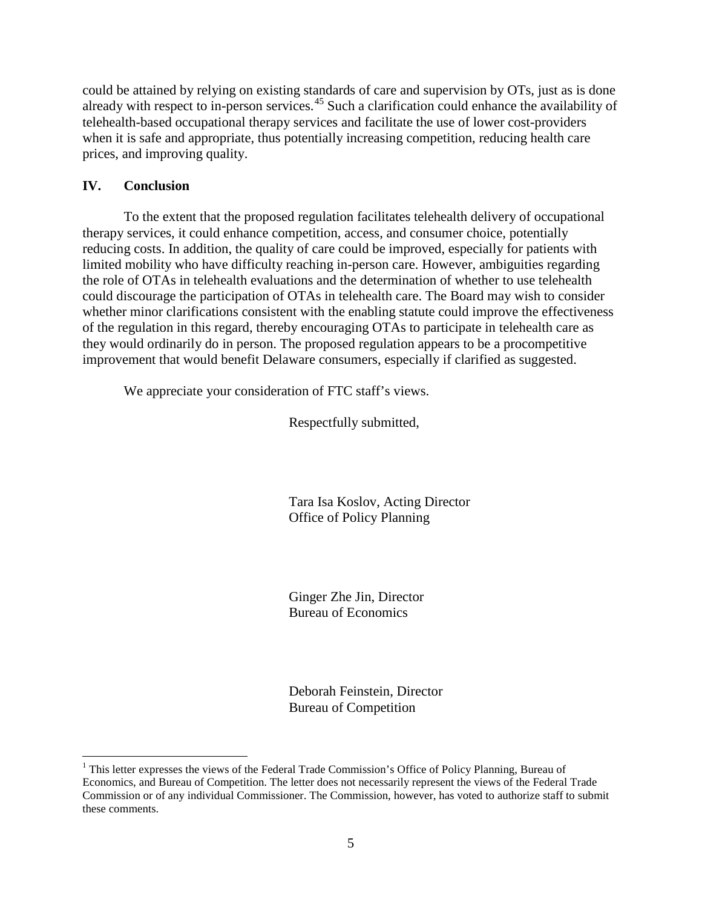could be attained by relying on existing standards of care and supervision by OTs, just as is done already with respect to in-person services.[45](#page-8-8) Such a clarification could enhance the availability of telehealth-based occupational therapy services and facilitate the use of lower cost-providers when it is safe and appropriate, thus potentially increasing competition, reducing health care prices, and improving quality.

## **IV. Conclusion**

To the extent that the proposed regulation facilitates telehealth delivery of occupational therapy services, it could enhance competition, access, and consumer choice, potentially reducing costs. In addition, the quality of care could be improved, especially for patients with limited mobility who have difficulty reaching in-person care. However, ambiguities regarding the role of OTAs in telehealth evaluations and the determination of whether to use telehealth could discourage the participation of OTAs in telehealth care. The Board may wish to consider whether minor clarifications consistent with the enabling statute could improve the effectiveness of the regulation in this regard, thereby encouraging OTAs to participate in telehealth care as they would ordinarily do in person. The proposed regulation appears to be a procompetitive improvement that would benefit Delaware consumers, especially if clarified as suggested.

We appreciate your consideration of FTC staff's views.

Respectfully submitted,

Tara Isa Koslov, Acting Director Office of Policy Planning

Ginger Zhe Jin, Director Bureau of Economics

Deborah Feinstein, Director Bureau of Competition

<sup>&</sup>lt;sup>1</sup> This letter expresses the views of the Federal Trade Commission's Office of Policy Planning, Bureau of Economics, and Bureau of Competition. The letter does not necessarily represent the views of the Federal Trade Commission or of any individual Commissioner. The Commission, however, has voted to authorize staff to submit these comments.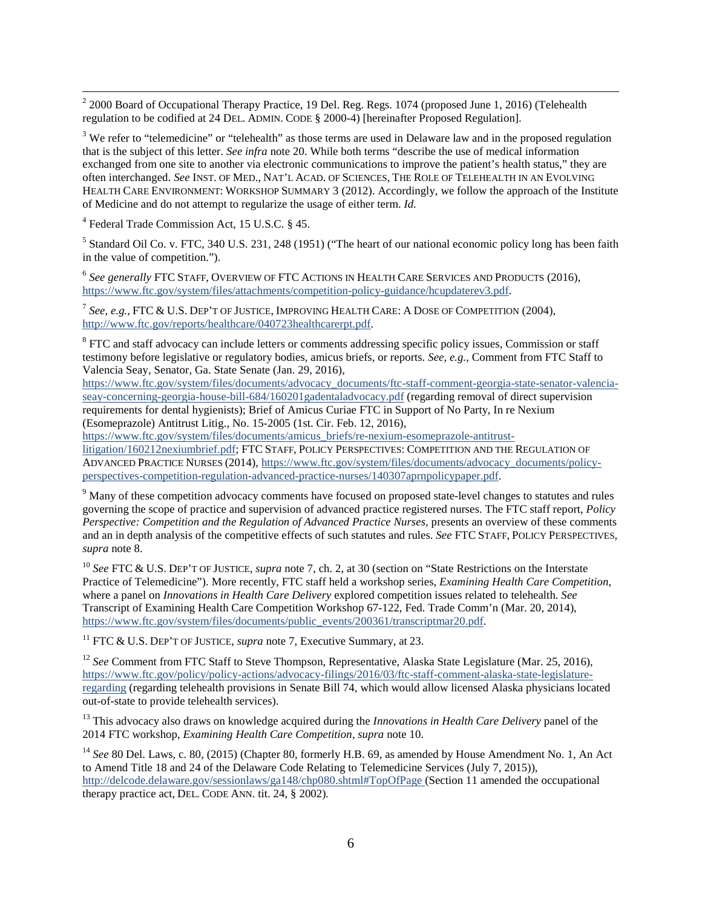<span id="page-5-1"></span><sup>2</sup> 2000 Board of Occupational Therapy Practice, 19 Del. Reg. Regs. 1074 (proposed June 1, 2016) (Telehealth regulation to be codified at 24 DEL. ADMIN. CODE § 2000-4) [hereinafter Proposed Regulation].

<span id="page-5-2"></span><sup>3</sup> We refer to "telemedicine" or "telehealth" as those terms are used in Delaware law and in the proposed regulation that is the subject of this letter. *See infra* not[e 20.](#page-1-0) While both terms "describe the use of medical information exchanged from one site to another via electronic communications to improve the patient's health status," they are often interchanged. *See* INST. OF MED., NAT'L ACAD. OF SCIENCES, THE ROLE OF TELEHEALTH IN AN EVOLVING HEALTH CARE ENVIRONMENT: WORKSHOP SUMMARY 3 (2012). Accordingly, we follow the approach of the Institute of Medicine and do not attempt to regularize the usage of either term. *Id.*

<span id="page-5-3"></span><sup>4</sup> Federal Trade Commission Act, 15 U.S.C. § 45.

<span id="page-5-4"></span><sup>5</sup> Standard Oil Co. v. FTC, 340 U.S. 231, 248 (1951) ("The heart of our national economic policy long has been faith in the value of competition.").

<span id="page-5-5"></span><sup>6</sup> *See generally* FTC STAFF, OVERVIEW OF FTC ACTIONS IN HEALTH CARE SERVICES AND PRODUCTS (2016), [https://www.ftc.gov/system/files/attachments/competition-policy-guidance/hcupdaterev3.pdf.](https://www.ftc.gov/system/files/attachments/competition-policy-guidance/hcupdaterev3.pdf)

<span id="page-5-6"></span><sup>7</sup> *See, e.g.*, FTC & U.S. DEP'T OF JUSTICE, IMPROVING HEALTH CARE: A DOSE OF COMPETITION (2004), [http://www.ftc.gov/reports/healthcare/040723healthcarerpt.pdf.](http://www.ftc.gov/reports/healthcare/040723healthcarerpt.pdf) 

<span id="page-5-7"></span><sup>8</sup> FTC and staff advocacy can include letters or comments addressing specific policy issues, Commission or staff testimony before legislative or regulatory bodies, amicus briefs, or reports. *See, e.g.*, Comment from FTC Staff to Valencia Seay, Senator, Ga. State Senate (Jan. 29, 2016),

[https://www.ftc.gov/system/files/documents/advocacy\\_documents/ftc-staff-comment-georgia-state-senator-valencia](https://www.ftc.gov/system/files/documents/advocacy_documents/ftc-staff-comment-georgia-state-senator-valencia-seay-concerning-georgia-house-bill-684/160201gadentaladvocacy.pdf)[seay-concerning-georgia-house-bill-684/160201gadentaladvocacy.pdf](https://www.ftc.gov/system/files/documents/advocacy_documents/ftc-staff-comment-georgia-state-senator-valencia-seay-concerning-georgia-house-bill-684/160201gadentaladvocacy.pdf) (regarding removal of direct supervision requirements for dental hygienists); Brief of Amicus Curiae FTC in Support of No Party, In re Nexium (Esomeprazole) Antitrust Litig., No. 15-2005 (1st. Cir. Feb. 12, 2016),

[https://www.ftc.gov/system/files/documents/amicus\\_briefs/re-nexium-esomeprazole-antitrust-](https://www.ftc.gov/system/files/documents/amicus_briefs/re-nexium-esomeprazole-antitrust-litigation/160212nexiumbrief.pdf)

[litigation/160212nexiumbrief.pdf;](https://www.ftc.gov/system/files/documents/amicus_briefs/re-nexium-esomeprazole-antitrust-litigation/160212nexiumbrief.pdf) FTC STAFF, POLICY PERSPECTIVES: COMPETITION AND THE REGULATION OF ADVANCED PRACTICE NURSES (2014), [https://www.ftc.gov/system/files/documents/advocacy\\_documents/policy](https://www.ftc.gov/system/files/documents/advocacy_documents/policy-perspectives-competition-regulation-advanced-practice-nurses/140307aprnpolicypaper.pdf)[perspectives-competition-regulation-advanced-practice-nurses/140307aprnpolicypaper.pdf.](https://www.ftc.gov/system/files/documents/advocacy_documents/policy-perspectives-competition-regulation-advanced-practice-nurses/140307aprnpolicypaper.pdf)

<span id="page-5-8"></span><sup>9</sup> Many of these competition advocacy comments have focused on proposed state-level changes to statutes and rules governing the scope of practice and supervision of advanced practice registered nurses. The FTC staff report, *Policy Perspective: Competition and the Regulation of Advanced Practice Nurses*, presents an overview of these comments and an in depth analysis of the competitive effects of such statutes and rules. *See* FTC STAFF, POLICY PERSPECTIVES, *supra* note [8.](#page-0-0)

<span id="page-5-9"></span><sup>10</sup> *See* FTC & U.S. DEP'T OF JUSTICE, *supra* note [7,](#page-0-1) ch. 2, at 30 (section on "State Restrictions on the Interstate Practice of Telemedicine"). More recently, FTC staff held a workshop series, *Examining Health Care Competition*, where a panel on *Innovations in Health Care Delivery* explored competition issues related to telehealth. *See* Transcript of Examining Health Care Competition Workshop 67-122, Fed. Trade Comm'n (Mar. 20, 2014), [https://www.ftc.gov/system/files/documents/public\\_events/200361/transcriptmar20.pdf.](https://www.ftc.gov/system/files/documents/public_events/200361/transcriptmar20.pdf)

<sup>11</sup> FTC & U.S. DEP'T OF JUSTICE, *supra* note [7,](#page-0-1) Executive Summary, at 23.

<sup>12</sup> *See* Comment from FTC Staff to Steve Thompson, Representative, Alaska State Legislature (Mar. 25, 2016), [https://www.ftc.gov/policy/policy-actions/advocacy-filings/2016/03/ftc-staff-comment-alaska-state-legislature](https://www.ftc.gov/policy/policy-actions/advocacy-filings/2016/03/ftc-staff-comment-alaska-state-legislature-regarding)[regarding](https://www.ftc.gov/policy/policy-actions/advocacy-filings/2016/03/ftc-staff-comment-alaska-state-legislature-regarding) (regarding telehealth provisions in Senate Bill 74, which would allow licensed Alaska physicians located out-of-state to provide telehealth services).

<sup>13</sup> This advocacy also draws on knowledge acquired during the *Innovations in Health Care Delivery* panel of the 2014 FTC workshop, *Examining Health Care Competition, supra* note [10.](#page-0-2) 

<span id="page-5-0"></span><sup>14</sup> See 80 Del. Laws, c. 80, (2015) (Chapter 80, formerly H.B. 69, as amended by House Amendment No. 1, An Act to Amend Title 18 and 24 of the Delaware Code Relating to Telemedicine Services (July 7, 2015)), <http://delcode.delaware.gov/sessionlaws/ga148/chp080.shtml#TopOfPage> (Section 11 amended the occupational therapy practice act, DEL. CODE ANN. tit. 24, § 2002)*.*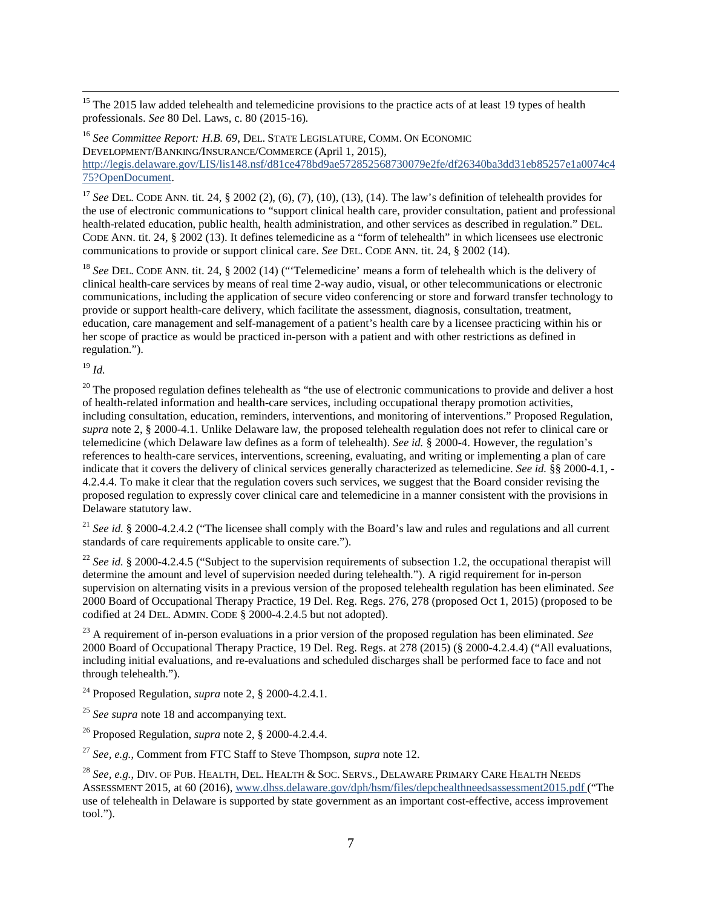<span id="page-6-4"></span><sup>15</sup> The 2015 law added telehealth and telemedicine provisions to the practice acts of at least 19 types of health professionals. *See* 80 Del. Laws, c. 80 (2015-16)*.*

<span id="page-6-5"></span><sup>16</sup> See Committee Report: H.B. 69, DEL. STATE LEGISLATURE, COMM. ON ECONOMIC DEVELOPMENT/BANKING/INSURANCE/COMMERCE (April 1, 2015), [http://legis.delaware.gov/LIS/lis148.nsf/d81ce478bd9ae572852568730079e2fe/df26340ba3dd31eb85257e1a0074c4](http://legis.delaware.gov/LIS/lis148.nsf/d81ce478bd9ae572852568730079e2fe/df26340ba3dd31eb85257e1a0074c475?OpenDocument) [75?OpenDocument.](http://legis.delaware.gov/LIS/lis148.nsf/d81ce478bd9ae572852568730079e2fe/df26340ba3dd31eb85257e1a0074c475?OpenDocument)

<span id="page-6-6"></span><sup>17</sup> See DEL. CODE ANN. tit. 24, § 2002 (2), (6), (7), (10), (13), (14). The law's definition of telehealth provides for the use of electronic communications to "support clinical health care, provider consultation, patient and professional health-related education, public health, health administration, and other services as described in regulation." DEL. CODE ANN. tit. 24, § 2002 (13). It defines telemedicine as a "form of telehealth" in which licensees use electronic communications to provide or support clinical care. *See* DEL. CODE ANN. tit. 24, § 2002 (14).

<span id="page-6-7"></span><sup>18</sup> See DEL. CODE ANN. tit. 24, § 2002 (14) ("Telemedicine' means a form of telehealth which is the delivery of clinical health-care services by means of real time 2-way audio, visual, or other telecommunications or electronic communications, including the application of secure video conferencing or store and forward transfer technology to provide or support health-care delivery, which facilitate the assessment, diagnosis, consultation, treatment, education, care management and self-management of a patient's health care by a licensee practicing within his or her scope of practice as would be practiced in-person with a patient and with other restrictions as defined in regulation.").

<span id="page-6-8"></span><sup>19</sup> *Id.*

<span id="page-6-9"></span> $20$  The proposed regulation defines telehealth as "the use of electronic communications to provide and deliver a host of health-related information and health-care services, including occupational therapy promotion activities, including consultation, education, reminders, interventions, and monitoring of interventions." Proposed Regulation, *supra* note [2,](#page-0-3) § 2000-4.1. Unlike Delaware law, the proposed telehealth regulation does not refer to clinical care or telemedicine (which Delaware law defines as a form of telehealth). *See id.* § 2000-4. However, the regulation's references to health-care services, interventions, screening, evaluating, and writing or implementing a plan of care indicate that it covers the delivery of clinical services generally characterized as telemedicine. *See id.* §§ 2000-4.1, - 4.2.4.4. To make it clear that the regulation covers such services, we suggest that the Board consider revising the proposed regulation to expressly cover clinical care and telemedicine in a manner consistent with the provisions in Delaware statutory law.

<span id="page-6-10"></span><sup>21</sup> *See id.* § 2000-4.2.4.2 ("The licensee shall comply with the Board's law and rules and regulations and all current standards of care requirements applicable to onsite care.").

<span id="page-6-11"></span><sup>22</sup> *See id.* § 2000-4.2.4.5 ("Subject to the supervision requirements of subsection 1.2, the occupational therapist will determine the amount and level of supervision needed during telehealth."). A rigid requirement for in-person supervision on alternating visits in a previous version of the proposed telehealth regulation has been eliminated. *See* 2000 Board of Occupational Therapy Practice, 19 Del. Reg. Regs. 276, 278 (proposed Oct 1, 2015) (proposed to be codified at 24 DEL. ADMIN. CODE § 2000-4.2.4.5 but not adopted).

<span id="page-6-12"></span><span id="page-6-1"></span><span id="page-6-0"></span><sup>23</sup> A requirement of in-person evaluations in a prior version of the proposed regulation has been eliminated. *See*  2000 Board of Occupational Therapy Practice, 19 Del. Reg. Regs. at 278 (2015) (§ 2000-4.2.4.4) ("All evaluations, including initial evaluations, and re-evaluations and scheduled discharges shall be performed face to face and not through telehealth.").

<span id="page-6-13"></span><sup>24</sup> Proposed Regulation, *supra* not[e 2,](#page-0-3) § 2000-4.2.4.1.

<span id="page-6-14"></span><span id="page-6-2"></span><sup>25</sup> *See supra* note [18](#page-1-1) and accompanying text.

<sup>26</sup> Proposed Regulation, *supra* not[e 2,](#page-0-3) § 2000-4.2.4.4.

<span id="page-6-3"></span><sup>27</sup> *See, e.g.*, Comment from FTC Staff to Steve Thompson, *supra* note [12.](#page-1-2)

<sup>28</sup> *See, e.g.*, DIV. OF PUB. HEALTH, DEL. HEALTH & SOC. SERVS., DELAWARE PRIMARY CARE HEALTH NEEDS ASSESSMENT 2015, at 60 (2016)[, www.dhss.delaware.gov/dph/hsm/files/depchealthneedsassessment2015.pdf](http://www.dhss.delaware.gov/dph/hsm/files/depchealthneedsassessment2015.pdf) ("The use of telehealth in Delaware is supported by state government as an important cost-effective, access improvement tool.").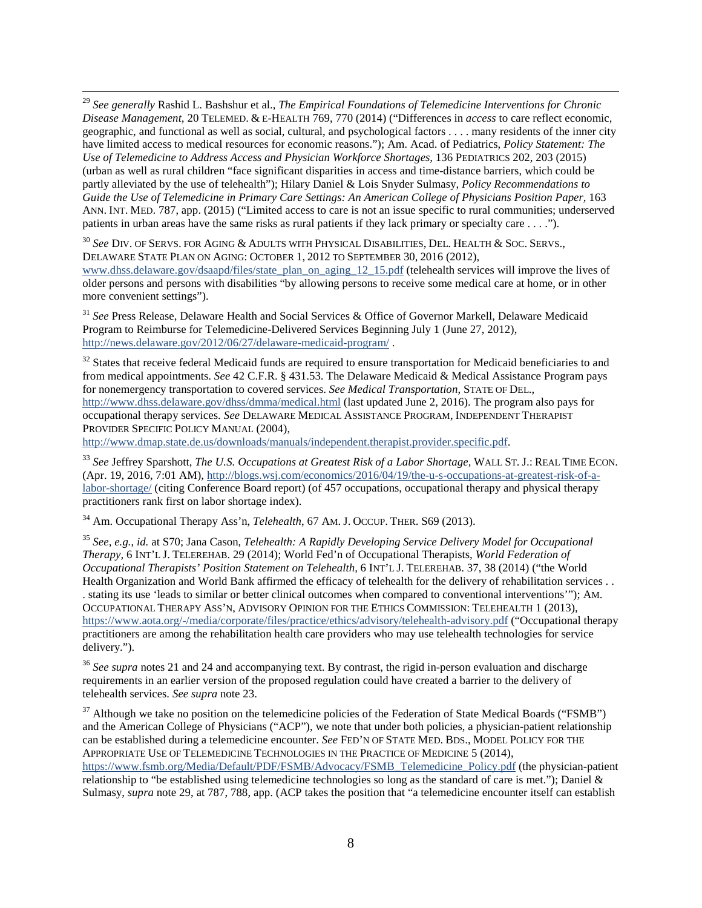<span id="page-7-3"></span> 29 *See generally* Rashid L. Bashshur et al., *The Empirical Foundations of Telemedicine Interventions for Chronic Disease Management,* 20 TELEMED. & E-HEALTH 769, 770 (2014) ("Differences in *access* to care reflect economic, geographic, and functional as well as social, cultural, and psychological factors . . . . many residents of the inner city have limited access to medical resources for economic reasons."); Am. Acad. of Pediatrics, *Policy Statement: The Use of Telemedicine to Address Access and Physician Workforce Shortages,* 136 PEDIATRICS 202, 203 (2015) (urban as well as rural children "face significant disparities in access and time-distance barriers, which could be partly alleviated by the use of telehealth"); Hilary Daniel & Lois Snyder Sulmasy, *Policy Recommendations to*  Guide the Use of Telemedicine in Primary Care Settings: An American College of Physicians Position Paper, 163 ANN. INT. MED. 787, app. (2015) ("Limited access to care is not an issue specific to rural communities; underserved patients in urban areas have the same risks as rural patients if they lack primary or specialty care . . . .").

<span id="page-7-4"></span><sup>30</sup> *See* DIV. OF SERVS. FOR AGING & ADULTS WITH PHYSICAL DISABILITIES, DEL. HEALTH & SOC. SERVS., DELAWARE STATE PLAN ON AGING: OCTOBER 1, 2012 TO SEPTEMBER 30, 2016 (2012), [www.dhss.delaware.gov/dsaapd/files/state\\_plan\\_on\\_aging\\_12\\_15.pdf](http://www.dhss.delaware.gov/dsaapd/files/state_plan_on_aging_12_15.pdf) (telehealth services will improve the lives of older persons and persons with disabilities "by allowing persons to receive some medical care at home, or in other more convenient settings").

<span id="page-7-5"></span><sup>31</sup> *See* Press Release, Delaware Health and Social Services & Office of Governor Markell, Delaware Medicaid Program to Reimburse for Telemedicine-Delivered Services Beginning July 1 (June 27, 2012), <http://news.delaware.gov/2012/06/27/delaware-medicaid-program/> .

<span id="page-7-6"></span> $32$  States that receive federal Medicaid funds are required to ensure transportation for Medicaid beneficiaries to and from medical appointments. *See* 42 C.F.R. § 431.53. The Delaware Medicaid & Medical Assistance Program pays for nonemergency transportation to covered services. *See Medical Transportation*, STATE OF DEL., <http://www.dhss.delaware.gov/dhss/dmma/medical.html> (last updated June 2, 2016). The program also pays for occupational therapy services. *See* DELAWARE MEDICAL ASSISTANCE PROGRAM, INDEPENDENT THERAPIST PROVIDER SPECIFIC POLICY MANUAL (2004),

[http://www.dmap.state.de.us/downloads/manuals/independent.therapist.provider.specific.pdf.](http://www.dmap.state.de.us/downloads/manuals/independent.therapist.provider.specific.pdf)

<span id="page-7-7"></span><sup>33</sup> *See* Jeffrey Sparshott, *The U.S. Occupations at Greatest Risk of a Labor Shortage,* WALL ST. J.: REAL TIME ECON. (Apr. 19, 2016, 7:01 AM)[, http://blogs.wsj.com/economics/2016/04/19/the-u-s-occupations-at-greatest-risk-of-a](http://blogs.wsj.com/economics/2016/04/19/the-u-s-occupations-at-greatest-risk-of-a-labor-shortage/)[labor-shortage/](http://blogs.wsj.com/economics/2016/04/19/the-u-s-occupations-at-greatest-risk-of-a-labor-shortage/) (citing Conference Board report) (of 457 occupations, occupational therapy and physical therapy practitioners rank first on labor shortage index).

<span id="page-7-8"></span><sup>34</sup> Am. Occupational Therapy Ass'n, *Telehealth*, 67 AM. J. OCCUP. THER. S69 (2013).

<span id="page-7-9"></span><sup>35</sup> *See, e.g.*, *id.* at S70; Jana Cason, *Telehealth: A Rapidly Developing Service Delivery Model for Occupational Therapy,* 6 INT'L J. TELEREHAB. 29 (2014); World Fed'n of Occupational Therapists, *World Federation of Occupational Therapists' Position Statement on Telehealth,* 6 INT'L J. TELEREHAB. 37, 38 (2014) ("the World Health Organization and World Bank affirmed the efficacy of telehealth for the delivery of rehabilitation services . . . stating its use 'leads to similar or better clinical outcomes when compared to conventional interventions'"); AM. OCCUPATIONAL THERAPY ASS'N, ADVISORY OPINION FOR THE ETHICS COMMISSION: TELEHEALTH 1 (2013), <https://www.aota.org/-/media/corporate/files/practice/ethics/advisory/telehealth-advisory.pdf> ("Occupational therapy practitioners are among the rehabilitation health care providers who may use telehealth technologies for service delivery.").

<span id="page-7-10"></span><sup>36</sup> See supra notes [21](#page-1-3) an[d 24](#page-1-4) and accompanying text. By contrast, the rigid in-person evaluation and discharge requirements in an earlier version of the proposed regulation could have created a barrier to the delivery of telehealth services. *See supra* note [23.](#page-1-5)

<span id="page-7-2"></span><span id="page-7-1"></span><span id="page-7-0"></span> $37$  Although we take no position on the telemedicine policies of the Federation of State Medical Boards ("FSMB") and the American College of Physicians ("ACP"), we note that under both policies, a physician-patient relationship can be established during a telemedicine encounter. *See* FED'N OF STATE MED. BDS., MODEL POLICY FOR THE APPROPRIATE USE OF TELEMEDICINE TECHNOLOGIES IN THE PRACTICE OF MEDICINE 5 (2014), [https://www.fsmb.org/Media/Default/PDF/FSMB/Advocacy/FSMB\\_Telemedicine\\_Policy.pdf](https://www.fsmb.org/Media/Default/PDF/FSMB/Advocacy/FSMB_Telemedicine_Policy.pdf) (the physician-patient relationship to "be established using telemedicine technologies so long as the standard of care is met."); Daniel & Sulmasy, *supra* note [29,](#page-2-0) at 787, 788, app. (ACP takes the position that "a telemedicine encounter itself can establish